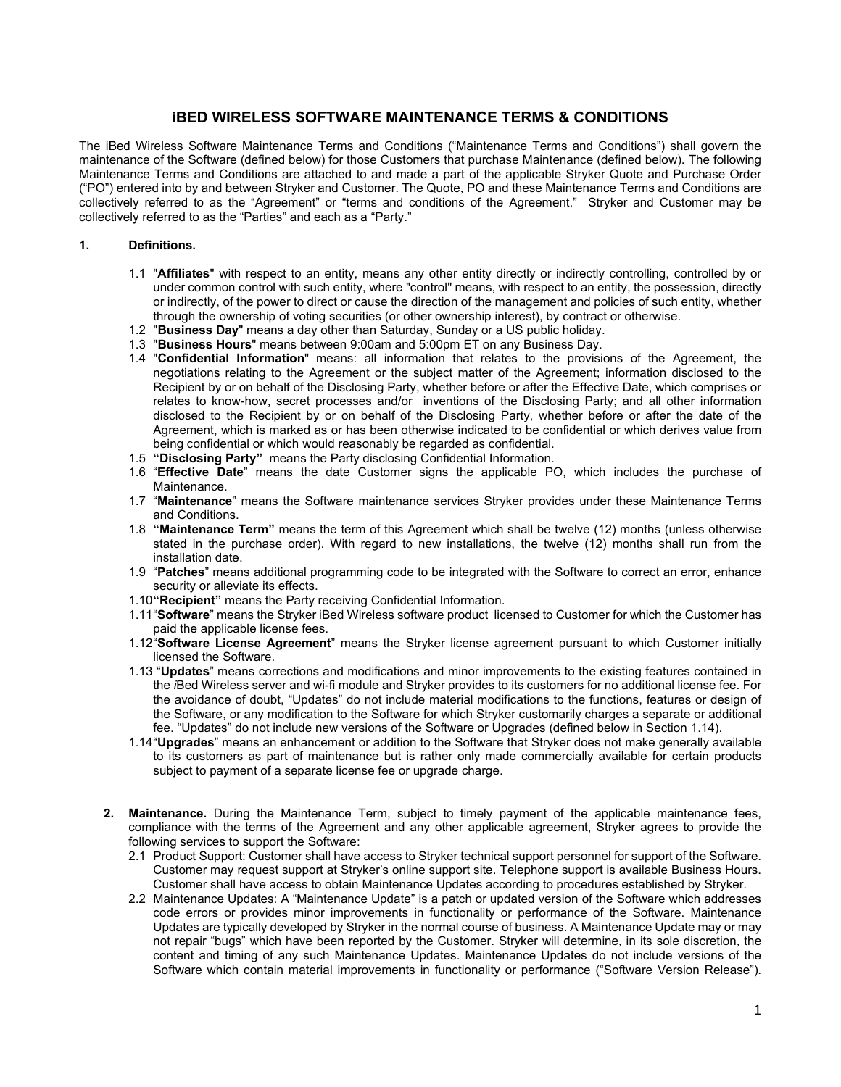## **iBED WIRELESS SOFTWARE MAINTENANCE TERMS & CONDITIONS**

The iBed Wireless Software Maintenance Terms and Conditions ("Maintenance Terms and Conditions") shall govern the maintenance of the Software (defined below) for those Customers that purchase Maintenance (defined below). The following Maintenance Terms and Conditions are attached to and made a part of the applicable Stryker Quote and Purchase Order ("PO") entered into by and between Stryker and Customer. The Quote, PO and these Maintenance Terms and Conditions are collectively referred to as the "Agreement" or "terms and conditions of the Agreement." Stryker and Customer may be collectively referred to as the "Parties" and each as a "Party."

## **1. Definitions.**

- 1.1 "**Affiliates**" with respect to an entity, means any other entity directly or indirectly controlling, controlled by or under common control with such entity, where "control" means, with respect to an entity, the possession, directly or indirectly, of the power to direct or cause the direction of the management and policies of such entity, whether through the ownership of voting securities (or other ownership interest), by contract or otherwise.
- 1.2 "**Business Day**" means a day other than Saturday, Sunday or a US public holiday.
- 1.3 "**Business Hours**" means between 9:00am and 5:00pm ET on any Business Day.
- 1.4 "**Confidential Information**" means: all information that relates to the provisions of the Agreement, the negotiations relating to the Agreement or the subject matter of the Agreement; information disclosed to the Recipient by or on behalf of the Disclosing Party, whether before or after the Effective Date, which comprises or relates to know-how, secret processes and/or inventions of the Disclosing Party; and all other information disclosed to the Recipient by or on behalf of the Disclosing Party, whether before or after the date of the Agreement, which is marked as or has been otherwise indicated to be confidential or which derives value from being confidential or which would reasonably be regarded as confidential.
- 1.5 **"Disclosing Party"** means the Party disclosing Confidential Information.
- 1.6 "**Effective Date**" means the date Customer signs the applicable PO, which includes the purchase of Maintenance.
- 1.7 "**Maintenance**" means the Software maintenance services Stryker provides under these Maintenance Terms and Conditions.
- 1.8 **"Maintenance Term"** means the term of this Agreement which shall be twelve (12) months (unless otherwise stated in the purchase order). With regard to new installations, the twelve (12) months shall run from the installation date.
- 1.9 "**Patches**" means additional programming code to be integrated with the Software to correct an error, enhance security or alleviate its effects.
- 1.10**"Recipient"** means the Party receiving Confidential Information.
- 1.11"**Software**" means the Stryker iBed Wireless software product licensed to Customer for which the Customer has paid the applicable license fees.
- 1.12"**Software License Agreement**" means the Stryker license agreement pursuant to which Customer initially licensed the Software.
- 1.13 "**Updates**" means corrections and modifications and minor improvements to the existing features contained in the *i*Bed Wireless server and wi-fi module and Stryker provides to its customers for no additional license fee. For the avoidance of doubt, "Updates" do not include material modifications to the functions, features or design of the Software, or any modification to the Software for which Stryker customarily charges a separate or additional fee. "Updates" do not include new versions of the Software or Upgrades (defined below in Section 1.14).
- 1.14"**Upgrades**" means an enhancement or addition to the Software that Stryker does not make generally available to its customers as part of maintenance but is rather only made commercially available for certain products subject to payment of a separate license fee or upgrade charge.
- **2. Maintenance.** During the Maintenance Term, subject to timely payment of the applicable maintenance fees, compliance with the terms of the Agreement and any other applicable agreement, Stryker agrees to provide the following services to support the Software:
	- 2.1 Product Support: Customer shall have access to Stryker technical support personnel for support of the Software. Customer may request support at Stryker's online support site. Telephone support is available Business Hours. Customer shall have access to obtain Maintenance Updates according to procedures established by Stryker.
	- 2.2 Maintenance Updates: A "Maintenance Update" is a patch or updated version of the Software which addresses code errors or provides minor improvements in functionality or performance of the Software. Maintenance Updates are typically developed by Stryker in the normal course of business. A Maintenance Update may or may not repair "bugs" which have been reported by the Customer. Stryker will determine, in its sole discretion, the content and timing of any such Maintenance Updates. Maintenance Updates do not include versions of the Software which contain material improvements in functionality or performance ("Software Version Release").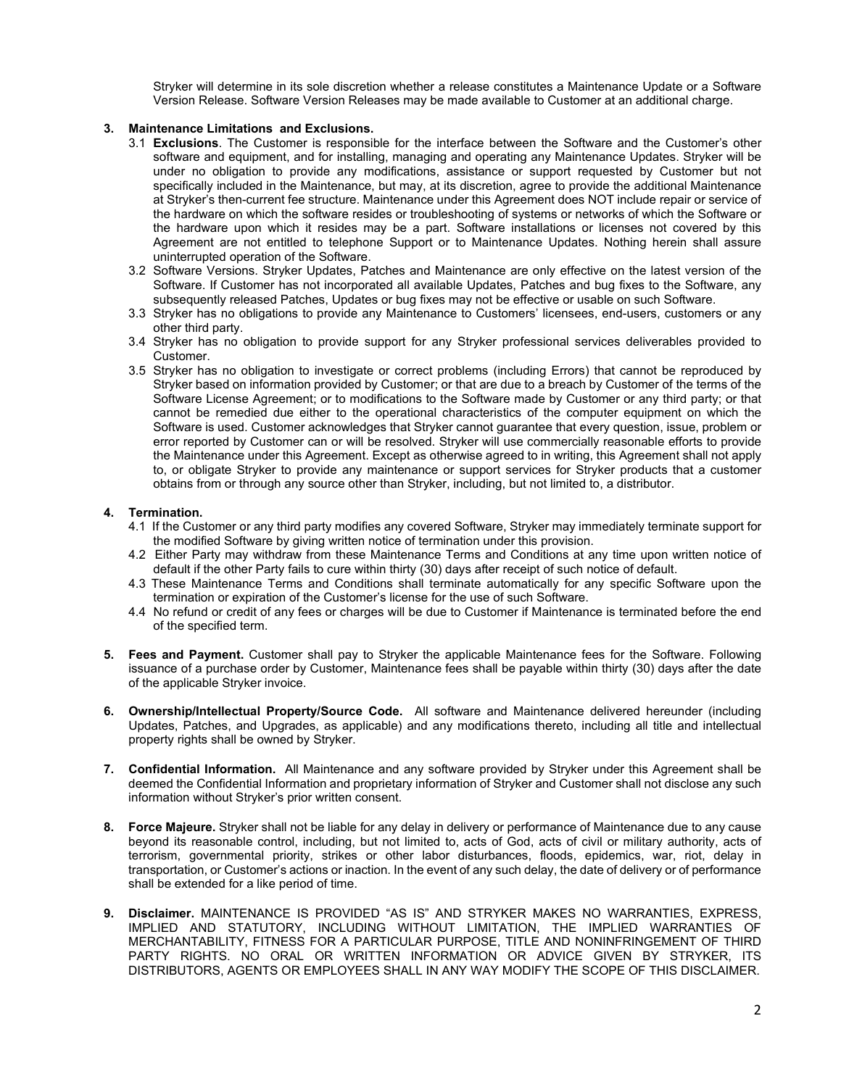Stryker will determine in its sole discretion whether a release constitutes a Maintenance Update or a Software Version Release. Software Version Releases may be made available to Customer at an additional charge.

## **3. Maintenance Limitations and Exclusions.**

- 3.1 **Exclusions**. The Customer is responsible for the interface between the Software and the Customer's other software and equipment, and for installing, managing and operating any Maintenance Updates. Stryker will be under no obligation to provide any modifications, assistance or support requested by Customer but not specifically included in the Maintenance, but may, at its discretion, agree to provide the additional Maintenance at Stryker's then-current fee structure. Maintenance under this Agreement does NOT include repair or service of the hardware on which the software resides or troubleshooting of systems or networks of which the Software or the hardware upon which it resides may be a part. Software installations or licenses not covered by this Agreement are not entitled to telephone Support or to Maintenance Updates. Nothing herein shall assure uninterrupted operation of the Software.
- 3.2 Software Versions. Stryker Updates, Patches and Maintenance are only effective on the latest version of the Software. If Customer has not incorporated all available Updates, Patches and bug fixes to the Software, any subsequently released Patches, Updates or bug fixes may not be effective or usable on such Software.
- 3.3 Stryker has no obligations to provide any Maintenance to Customers' licensees, end-users, customers or any other third party.
- 3.4 Stryker has no obligation to provide support for any Stryker professional services deliverables provided to Customer.
- 3.5 Stryker has no obligation to investigate or correct problems (including Errors) that cannot be reproduced by Stryker based on information provided by Customer; or that are due to a breach by Customer of the terms of the Software License Agreement; or to modifications to the Software made by Customer or any third party; or that cannot be remedied due either to the operational characteristics of the computer equipment on which the Software is used. Customer acknowledges that Stryker cannot guarantee that every question, issue, problem or error reported by Customer can or will be resolved. Stryker will use commercially reasonable efforts to provide the Maintenance under this Agreement. Except as otherwise agreed to in writing, this Agreement shall not apply to, or obligate Stryker to provide any maintenance or support services for Stryker products that a customer obtains from or through any source other than Stryker, including, but not limited to, a distributor.

## **4. Termination.**

- 4.1 If the Customer or any third party modifies any covered Software, Stryker may immediately terminate support for the modified Software by giving written notice of termination under this provision.
- 4.2 Either Party may withdraw from these Maintenance Terms and Conditions at any time upon written notice of default if the other Party fails to cure within thirty (30) days after receipt of such notice of default.
- 4.3 These Maintenance Terms and Conditions shall terminate automatically for any specific Software upon the termination or expiration of the Customer's license for the use of such Software.
- 4.4 No refund or credit of any fees or charges will be due to Customer if Maintenance is terminated before the end of the specified term.
- **5. Fees and Payment.** Customer shall pay to Stryker the applicable Maintenance fees for the Software. Following issuance of a purchase order by Customer, Maintenance fees shall be payable within thirty (30) days after the date of the applicable Stryker invoice.
- **6. Ownership/Intellectual Property/Source Code.** All software and Maintenance delivered hereunder (including Updates, Patches, and Upgrades, as applicable) and any modifications thereto, including all title and intellectual property rights shall be owned by Stryker.
- **7. Confidential Information.** All Maintenance and any software provided by Stryker under this Agreement shall be deemed the Confidential Information and proprietary information of Stryker and Customer shall not disclose any such information without Stryker's prior written consent.
- **8. Force Majeure.** Stryker shall not be liable for any delay in delivery or performance of Maintenance due to any cause beyond its reasonable control, including, but not limited to, acts of God, acts of civil or military authority, acts of terrorism, governmental priority, strikes or other labor disturbances, floods, epidemics, war, riot, delay in transportation, or Customer's actions or inaction. In the event of any such delay, the date of delivery or of performance shall be extended for a like period of time.
- **9. Disclaimer.** MAINTENANCE IS PROVIDED "AS IS" AND STRYKER MAKES NO WARRANTIES, EXPRESS, IMPLIED AND STATUTORY, INCLUDING WITHOUT LIMITATION, THE IMPLIED WARRANTIES OF MERCHANTABILITY, FITNESS FOR A PARTICULAR PURPOSE, TITLE AND NONINFRINGEMENT OF THIRD PARTY RIGHTS. NO ORAL OR WRITTEN INFORMATION OR ADVICE GIVEN BY STRYKER, ITS DISTRIBUTORS, AGENTS OR EMPLOYEES SHALL IN ANY WAY MODIFY THE SCOPE OF THIS DISCLAIMER.